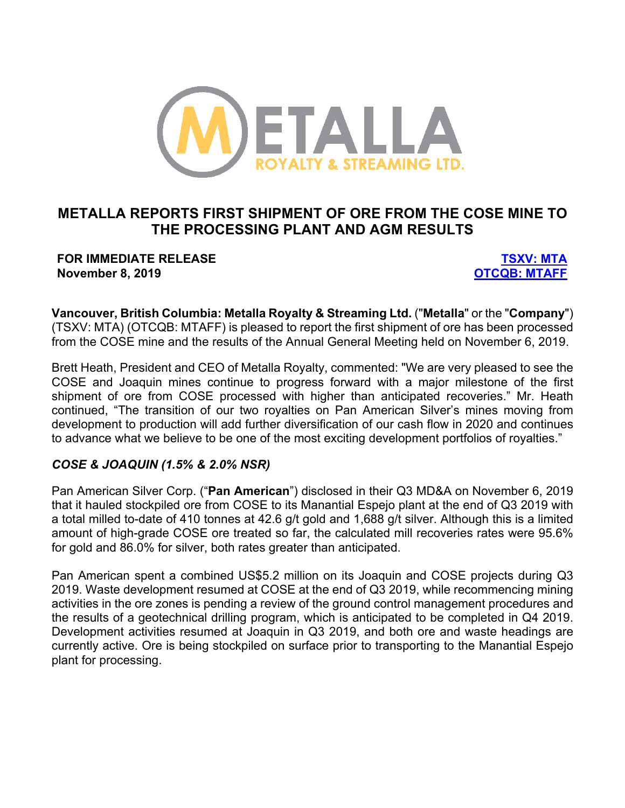

# **METALLA REPORTS FIRST SHIPMENT OF ORE FROM THE COSE MINE TO THE PROCESSING PLANT AND AGM RESULTS**

### **FOR IMMEDIATE RELEASE TSXV: MTA November 8, 2019 OTCQB: MTAFF**

**Vancouver, British Columbia: Metalla Royalty & Streaming Ltd.** ("**Metalla**" or the "**Company**") (TSXV: MTA) (OTCQB: MTAFF) is pleased to report the first shipment of ore has been processed from the COSE mine and the results of the Annual General Meeting held on November 6, 2019.

Brett Heath, President and CEO of Metalla Royalty, commented: "We are very pleased to see the COSE and Joaquin mines continue to progress forward with a major milestone of the first shipment of ore from COSE processed with higher than anticipated recoveries." Mr. Heath continued, "The transition of our two royalties on Pan American Silver's mines moving from development to production will add further diversification of our cash flow in 2020 and continues to advance what we believe to be one of the most exciting development portfolios of royalties."

### *COSE & JOAQUIN (1.5% & 2.0% NSR)*

Pan American Silver Corp. ("**Pan American**") disclosed in their Q3 MD&A on November 6, 2019 that it hauled stockpiled ore from COSE to its Manantial Espejo plant at the end of Q3 2019 with a total milled to-date of 410 tonnes at 42.6 g/t gold and 1,688 g/t silver. Although this is a limited amount of high-grade COSE ore treated so far, the calculated mill recoveries rates were 95.6% for gold and 86.0% for silver, both rates greater than anticipated.

Pan American spent a combined US\$5.2 million on its Joaquin and COSE projects during Q3 2019. Waste development resumed at COSE at the end of Q3 2019, while recommencing mining activities in the ore zones is pending a review of the ground control management procedures and the results of a geotechnical drilling program, which is anticipated to be completed in Q4 2019. Development activities resumed at Joaquin in Q3 2019, and both ore and waste headings are currently active. Ore is being stockpiled on surface prior to transporting to the Manantial Espejo plant for processing.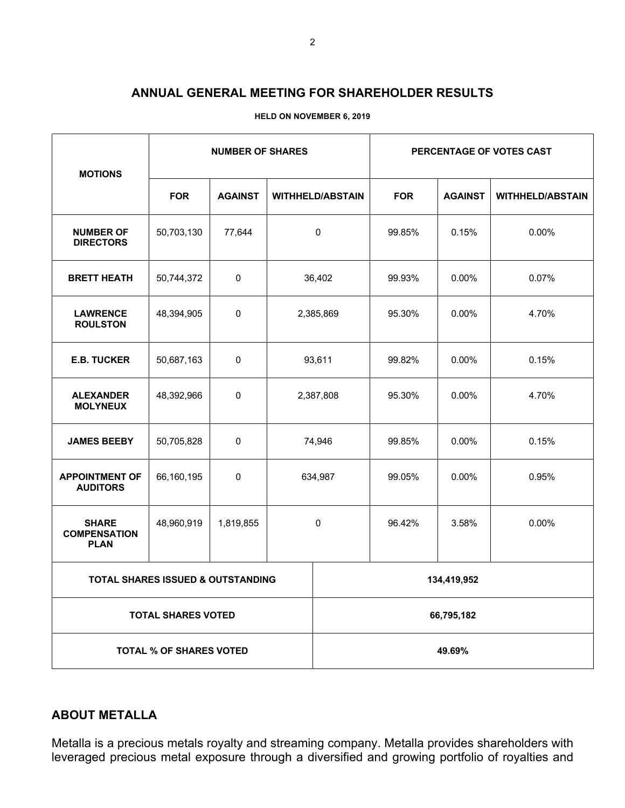### **ANNUAL GENERAL MEETING FOR SHAREHOLDER RESULTS**

| <b>MOTIONS</b>                                     | <b>NUMBER OF SHARES</b> |                |                         |             | PERCENTAGE OF VOTES CAST |                |                         |
|----------------------------------------------------|-------------------------|----------------|-------------------------|-------------|--------------------------|----------------|-------------------------|
|                                                    | <b>FOR</b>              | <b>AGAINST</b> | <b>WITHHELD/ABSTAIN</b> |             | <b>FOR</b>               | <b>AGAINST</b> | <b>WITHHELD/ABSTAIN</b> |
| <b>NUMBER OF</b><br><b>DIRECTORS</b>               | 50,703,130              | 77,644         | 0                       |             | 99.85%                   | 0.15%          | 0.00%                   |
| <b>BRETT HEATH</b>                                 | 50,744,372              | 0              | 36,402                  |             | 99.93%                   | $0.00\%$       | 0.07%                   |
| <b>LAWRENCE</b><br><b>ROULSTON</b>                 | 48,394,905              | 0              | 2,385,869               |             | 95.30%                   | $0.00\%$       | 4.70%                   |
| <b>E.B. TUCKER</b>                                 | 50,687,163              | 0              | 93,611                  |             | 99.82%                   | $0.00\%$       | 0.15%                   |
| <b>ALEXANDER</b><br><b>MOLYNEUX</b>                | 48,392,966              | 0              | 2,387,808               |             | 95.30%                   | $0.00\%$       | 4.70%                   |
| <b>JAMES BEEBY</b>                                 | 50,705,828              | 0              | 74,946                  |             | 99.85%                   | 0.00%          | 0.15%                   |
| <b>APPOINTMENT OF</b><br><b>AUDITORS</b>           | 66,160,195              | 0              | 634,987                 |             | 99.05%                   | $0.00\%$       | 0.95%                   |
| <b>SHARE</b><br><b>COMPENSATION</b><br><b>PLAN</b> | 48,960,919              | 1,819,855      | 0                       |             | 96.42%                   | 3.58%          | $0.00\%$                |
| <b>TOTAL SHARES ISSUED &amp; OUTSTANDING</b>       |                         |                |                         | 134,419,952 |                          |                |                         |
| <b>TOTAL SHARES VOTED</b>                          |                         |                |                         | 66,795,182  |                          |                |                         |
| <b>TOTAL % OF SHARES VOTED</b>                     |                         |                |                         | 49.69%      |                          |                |                         |

**HELD ON NOVEMBER 6, 2019**

## **ABOUT METALLA**

Metalla is a precious metals royalty and streaming company. Metalla provides shareholders with leveraged precious metal exposure through a diversified and growing portfolio of royalties and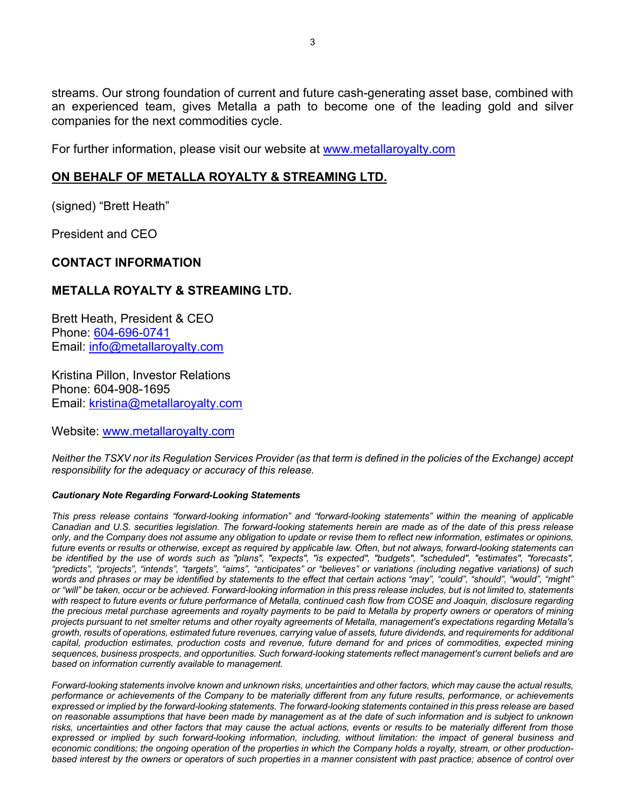streams. Our strong foundation of current and future cash-generating asset base, combined with an experienced team, gives Metalla a path to become one of the leading gold and silver companies for the next commodities cycle.

For further information, please visit our website at www.metallaroyalty.com

### **ON BEHALF OF METALLA ROYALTY & STREAMING LTD.**

(signed) "Brett Heath"

President and CEO

#### **CONTACT INFORMATION**

### **METALLA ROYALTY & STREAMING LTD.**

Brett Heath, President & CEO Phone: 604-696-0741 Email: info@metallaroyalty.com

Kristina Pillon, Investor Relations Phone: 604-908-1695 Email: kristina@metallaroyalty.com

Website: www.metallaroyalty.com

*Neither the TSXV nor its Regulation Services Provider (as that term is defined in the policies of the Exchange) accept responsibility for the adequacy or accuracy of this release.*

#### *Cautionary Note Regarding Forward-Looking Statements*

*This press release contains "forward-looking information" and "forward-looking statements" within the meaning of applicable Canadian and U.S. securities legislation. The forward-looking statements herein are made as of the date of this press release only, and the Company does not assume any obligation to update or revise them to reflect new information, estimates or opinions, future events or results or otherwise, except as required by applicable law. Often, but not always, forward-looking statements can be identified by the use of words such as "plans", "expects", "is expected", "budgets", "scheduled", "estimates", "forecasts", "predicts", "projects", "intends", "targets", "aims", "anticipates" or "believes" or variations (including negative variations) of such words and phrases or may be identified by statements to the effect that certain actions "may", "could", "should", "would", "might" or "will" be taken, occur or be achieved. Forward-looking information in this press release includes, but is not limited to, statements with respect to future events or future performance of Metalla, continued cash flow from COSE and Joaquin, disclosure regarding the precious metal purchase agreements and royalty payments to be paid to Metalla by property owners or operators of mining projects pursuant to net smelter returns and other royalty agreements of Metalla, management's expectations regarding Metalla's growth, results of operations, estimated future revenues, carrying value of assets, future dividends, and requirements for additional capital, production estimates, production costs and revenue, future demand for and prices of commodities, expected mining sequences, business prospects, and opportunities. Such forward-looking statements reflect management's current beliefs and are based on information currently available to management.*

*Forward-looking statements involve known and unknown risks, uncertainties and other factors, which may cause the actual results, performance or achievements of the Company to be materially different from any future results, performance, or achievements expressed or implied by the forward-looking statements. The forward-looking statements contained in this press release are based on reasonable assumptions that have been made by management as at the date of such information and is subject to unknown risks, uncertainties and other factors that may cause the actual actions, events or results to be materially different from those expressed or implied by such forward-looking information, including, without limitation: the impact of general business and economic conditions; the ongoing operation of the properties in which the Company holds a royalty, stream, or other productionbased interest by the owners or operators of such properties in a manner consistent with past practice; absence of control over*